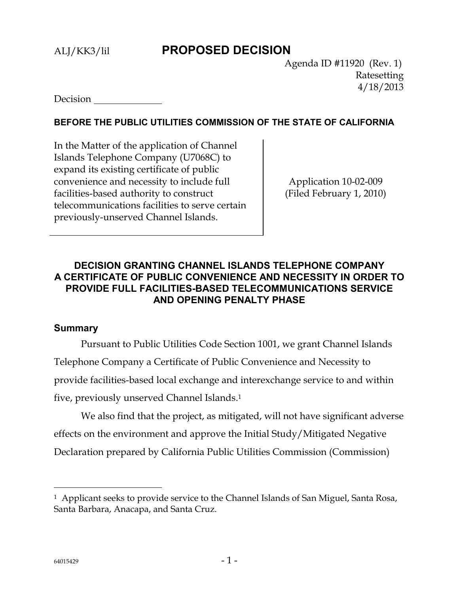## ALJ/KK3/lil **PROPOSED DECISION**

 Agenda ID #11920 (Rev. 1) Ratesetting 4/18/2013

Decision

### **BEFORE THE PUBLIC UTILITIES COMMISSION OF THE STATE OF CALIFORNIA**

In the Matter of the application of Channel Islands Telephone Company (U7068C) to expand its existing certificate of public convenience and necessity to include full facilities-based authority to construct telecommunications facilities to serve certain previously-unserved Channel Islands.

Application 10-02-009 (Filed February 1, 2010)

## **DECISION GRANTING CHANNEL ISLANDS TELEPHONE COMPANY A CERTIFICATE OF PUBLIC CONVENIENCE AND NECESSITY IN ORDER TO PROVIDE FULL FACILITIES-BASED TELECOMMUNICATIONS SERVICE AND OPENING PENALTY PHASE**

#### **Summary**

Pursuant to Public Utilities Code Section 1001, we grant Channel Islands Telephone Company a Certificate of Public Convenience and Necessity to provide facilities-based local exchange and interexchange service to and within five, previously unserved Channel Islands. 1

We also find that the project, as mitigated, will not have significant adverse effects on the environment and approve the Initial Study/Mitigated Negative Declaration prepared by California Public Utilities Commission (Commission)

<sup>&</sup>lt;sup>1</sup> Applicant seeks to provide service to the Channel Islands of San Miguel, Santa Rosa, Santa Barbara, Anacapa, and Santa Cruz.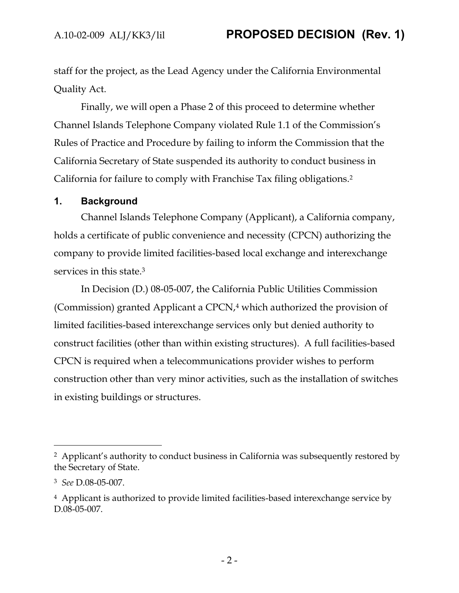staff for the project, as the Lead Agency under the California Environmental Quality Act.

Finally, we will open a Phase 2 of this proceed to determine whether Channel Islands Telephone Company violated Rule 1.1 of the Commission's Rules of Practice and Procedure by failing to inform the Commission that the California Secretary of State suspended its authority to conduct business in California for failure to comply with Franchise Tax filing obligations.<sup>2</sup>

#### **1. Background**

Channel Islands Telephone Company (Applicant), a California company, holds a certificate of public convenience and necessity (CPCN) authorizing the company to provide limited facilities-based local exchange and interexchange services in this state.<sup>3</sup>

In Decision (D.) 08-05-007, the California Public Utilities Commission (Commission) granted Applicant a CPCN,<sup>4</sup> which authorized the provision of limited facilities-based interexchange services only but denied authority to construct facilities (other than within existing structures). A full facilities-based CPCN is required when a telecommunications provider wishes to perform construction other than very minor activities, such as the installation of switches in existing buildings or structures.

<sup>&</sup>lt;sup>2</sup> Applicant's authority to conduct business in California was subsequently restored by the Secretary of State.

<sup>3</sup> *See* D.08-05-007.

<sup>4</sup> Applicant is authorized to provide limited facilities-based interexchange service by D.08-05-007.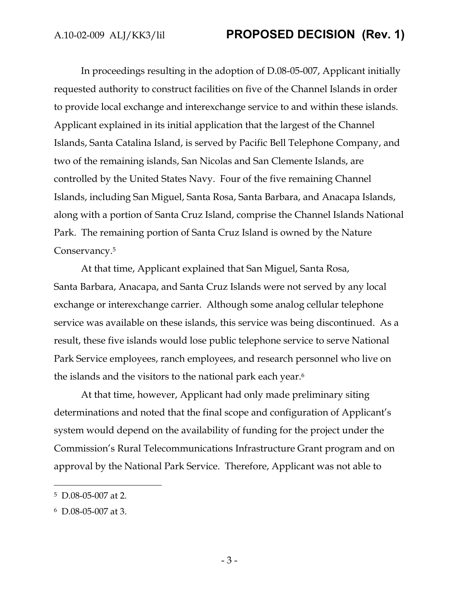In proceedings resulting in the adoption of D.08-05-007, Applicant initially requested authority to construct facilities on five of the Channel Islands in order to provide local exchange and interexchange service to and within these islands. Applicant explained in its initial application that the largest of the Channel Islands, Santa Catalina Island, is served by Pacific Bell Telephone Company, and two of the remaining islands, San Nicolas and San Clemente Islands, are controlled by the United States Navy. Four of the five remaining Channel Islands, including San Miguel, Santa Rosa, Santa Barbara, and Anacapa Islands, along with a portion of Santa Cruz Island, comprise the Channel Islands National Park. The remaining portion of Santa Cruz Island is owned by the Nature Conservancy.<sup>5</sup>

At that time, Applicant explained that San Miguel, Santa Rosa, Santa Barbara, Anacapa, and Santa Cruz Islands were not served by any local exchange or interexchange carrier. Although some analog cellular telephone service was available on these islands, this service was being discontinued. As a result, these five islands would lose public telephone service to serve National Park Service employees, ranch employees, and research personnel who live on the islands and the visitors to the national park each year.<sup>6</sup>

At that time, however, Applicant had only made preliminary siting determinations and noted that the final scope and configuration of Applicant's system would depend on the availability of funding for the project under the Commission's Rural Telecommunications Infrastructure Grant program and on approval by the National Park Service. Therefore, Applicant was not able to

<sup>5</sup> D.08-05-007 at 2.

<sup>6</sup> D.08-05-007 at 3.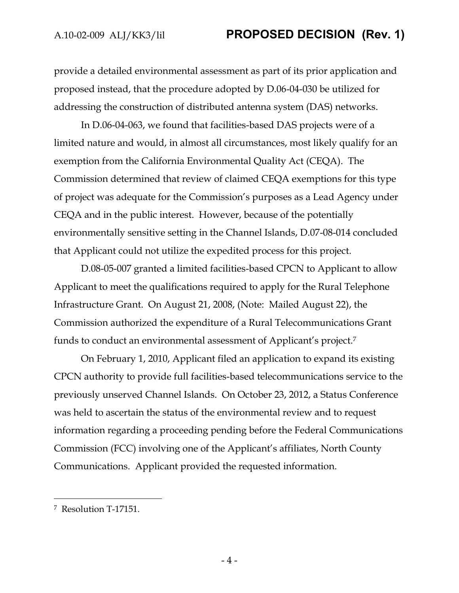provide a detailed environmental assessment as part of its prior application and proposed instead, that the procedure adopted by D.06-04-030 be utilized for addressing the construction of distributed antenna system (DAS) networks.

In D.06-04-063, we found that facilities-based DAS projects were of a limited nature and would, in almost all circumstances, most likely qualify for an exemption from the California Environmental Quality Act (CEQA). The Commission determined that review of claimed CEQA exemptions for this type of project was adequate for the Commission's purposes as a Lead Agency under CEQA and in the public interest. However, because of the potentially environmentally sensitive setting in the Channel Islands, D.07-08-014 concluded that Applicant could not utilize the expedited process for this project.

D.08-05-007 granted a limited facilities-based CPCN to Applicant to allow Applicant to meet the qualifications required to apply for the Rural Telephone Infrastructure Grant. On August 21, 2008, (Note: Mailed August 22), the Commission authorized the expenditure of a Rural Telecommunications Grant funds to conduct an environmental assessment of Applicant's project.<sup>7</sup>

On February 1, 2010, Applicant filed an application to expand its existing CPCN authority to provide full facilities-based telecommunications service to the previously unserved Channel Islands. On October 23, 2012, a Status Conference was held to ascertain the status of the environmental review and to request information regarding a proceeding pending before the Federal Communications Commission (FCC) involving one of the Applicant's affiliates, North County Communications. Applicant provided the requested information.

<sup>7</sup> Resolution T-17151.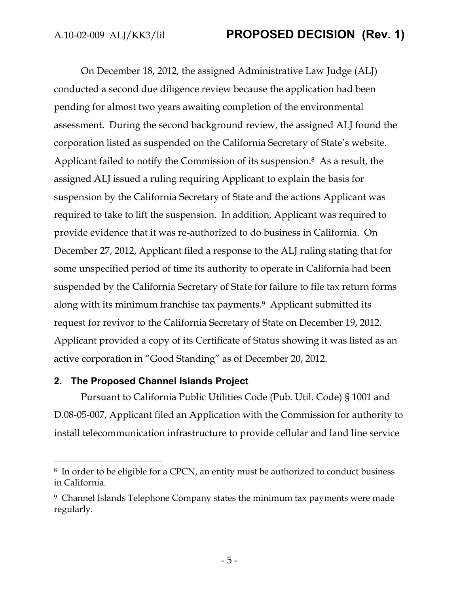On December 18, 2012, the assigned Administrative Law Judge (ALJ) conducted a second due diligence review because the application had been pending for almost two years awaiting completion of the environmental assessment. During the second background review, the assigned ALJ found the corporation listed as suspended on the California Secretary of State's website. Applicant failed to notify the Commission of its suspension.8 As a result, the assigned ALJ issued a ruling requiring Applicant to explain the basis for suspension by the California Secretary of State and the actions Applicant was required to take to lift the suspension. In addition, Applicant was required to provide evidence that it was re-authorized to do business in California. On December 27, 2012, Applicant filed a response to the ALJ ruling stating that for some unspecified period of time its authority to operate in California had been suspended by the California Secretary of State for failure to file tax return forms along with its minimum franchise tax payments.9 Applicant submitted its request for revivor to the California Secretary of State on December 19, 2012. Applicant provided a copy of its Certificate of Status showing it was listed as an active corporation in "Good Standing" as of December 20, 2012.

### **2. The Proposed Channel Islands Project**

 $\overline{a}$ 

Pursuant to California Public Utilities Code (Pub. Util. Code) § 1001 and D.08-05-007, Applicant filed an Application with the Commission for authority to install telecommunication infrastructure to provide cellular and land line service

<sup>8</sup> In order to be eligible for a CPCN, an entity must be authorized to conduct business in California.

<sup>9</sup> Channel Islands Telephone Company states the minimum tax payments were made regularly.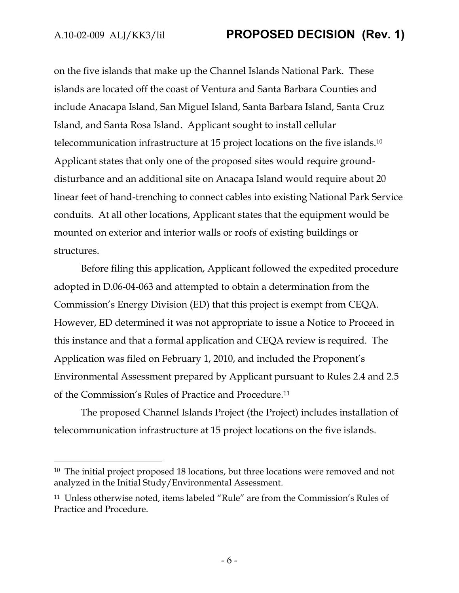$\overline{a}$ 

on the five islands that make up the Channel Islands National Park. These islands are located off the coast of Ventura and Santa Barbara Counties and include Anacapa Island, San Miguel Island, Santa Barbara Island, Santa Cruz Island, and Santa Rosa Island. Applicant sought to install cellular telecommunication infrastructure at 15 project locations on the five islands.<sup>10</sup> Applicant states that only one of the proposed sites would require grounddisturbance and an additional site on Anacapa Island would require about 20 linear feet of hand-trenching to connect cables into existing National Park Service conduits. At all other locations, Applicant states that the equipment would be mounted on exterior and interior walls or roofs of existing buildings or structures.

Before filing this application, Applicant followed the expedited procedure adopted in D.06-04-063 and attempted to obtain a determination from the Commission's Energy Division (ED) that this project is exempt from CEQA. However, ED determined it was not appropriate to issue a Notice to Proceed in this instance and that a formal application and CEQA review is required. The Application was filed on February 1, 2010, and included the Proponent's Environmental Assessment prepared by Applicant pursuant to Rules 2.4 and 2.5 of the Commission's Rules of Practice and Procedure.<sup>11</sup>

The proposed Channel Islands Project (the Project) includes installation of telecommunication infrastructure at 15 project locations on the five islands.

<sup>&</sup>lt;sup>10</sup> The initial project proposed 18 locations, but three locations were removed and not analyzed in the Initial Study/Environmental Assessment.

<sup>11</sup> Unless otherwise noted, items labeled "Rule" are from the Commission's Rules of Practice and Procedure.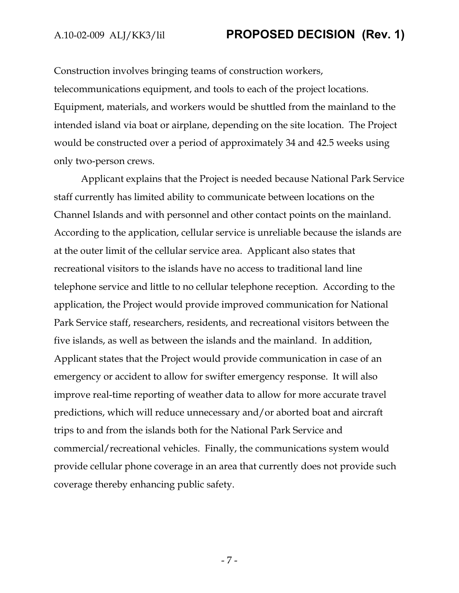Construction involves bringing teams of construction workers, telecommunications equipment, and tools to each of the project locations. Equipment, materials, and workers would be shuttled from the mainland to the intended island via boat or airplane, depending on the site location. The Project would be constructed over a period of approximately 34 and 42.5 weeks using only two-person crews.

Applicant explains that the Project is needed because National Park Service staff currently has limited ability to communicate between locations on the Channel Islands and with personnel and other contact points on the mainland. According to the application, cellular service is unreliable because the islands are at the outer limit of the cellular service area. Applicant also states that recreational visitors to the islands have no access to traditional land line telephone service and little to no cellular telephone reception. According to the application, the Project would provide improved communication for National Park Service staff, researchers, residents, and recreational visitors between the five islands, as well as between the islands and the mainland. In addition, Applicant states that the Project would provide communication in case of an emergency or accident to allow for swifter emergency response. It will also improve real-time reporting of weather data to allow for more accurate travel predictions, which will reduce unnecessary and/or aborted boat and aircraft trips to and from the islands both for the National Park Service and commercial/recreational vehicles. Finally, the communications system would provide cellular phone coverage in an area that currently does not provide such coverage thereby enhancing public safety.

- 7 -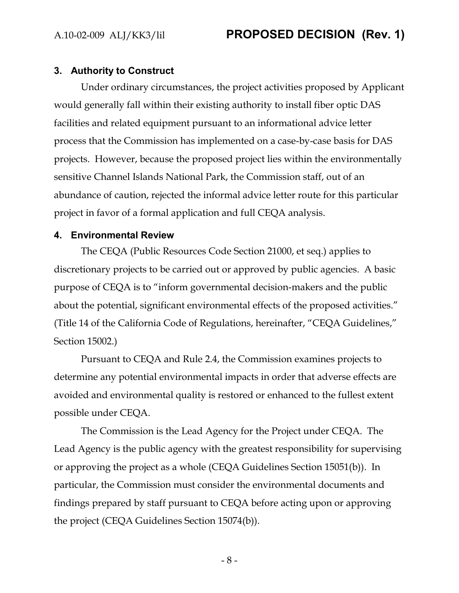#### **3. Authority to Construct**

Under ordinary circumstances, the project activities proposed by Applicant would generally fall within their existing authority to install fiber optic DAS facilities and related equipment pursuant to an informational advice letter process that the Commission has implemented on a case-by-case basis for DAS projects. However, because the proposed project lies within the environmentally sensitive Channel Islands National Park, the Commission staff, out of an abundance of caution, rejected the informal advice letter route for this particular project in favor of a formal application and full CEQA analysis.

#### **4. Environmental Review**

The CEQA (Public Resources Code Section 21000, et seq.) applies to discretionary projects to be carried out or approved by public agencies. A basic purpose of CEQA is to "inform governmental decision-makers and the public about the potential, significant environmental effects of the proposed activities." (Title 14 of the California Code of Regulations, hereinafter, "CEQA Guidelines," Section 15002.)

Pursuant to CEQA and Rule 2.4, the Commission examines projects to determine any potential environmental impacts in order that adverse effects are avoided and environmental quality is restored or enhanced to the fullest extent possible under CEQA.

The Commission is the Lead Agency for the Project under CEQA. The Lead Agency is the public agency with the greatest responsibility for supervising or approving the project as a whole (CEQA Guidelines Section 15051(b)). In particular, the Commission must consider the environmental documents and findings prepared by staff pursuant to CEQA before acting upon or approving the project (CEQA Guidelines Section 15074(b)).

- 8 -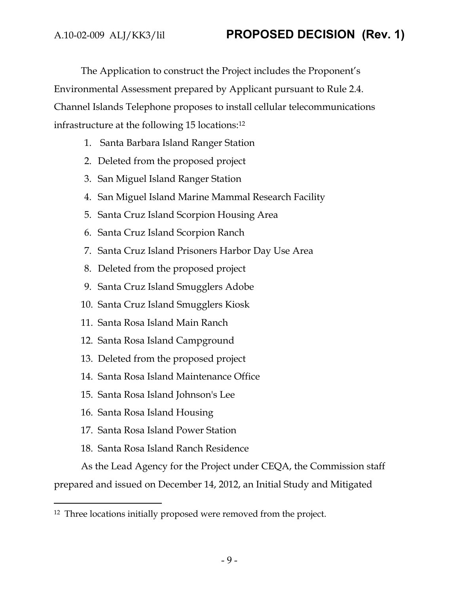The Application to construct the Project includes the Proponent's Environmental Assessment prepared by Applicant pursuant to Rule 2.4. Channel Islands Telephone proposes to install cellular telecommunications infrastructure at the following 15 locations:<sup>12</sup>

- 1. Santa Barbara Island Ranger Station
- 2. Deleted from the proposed project
- 3. San Miguel Island Ranger Station
- 4. San Miguel Island Marine Mammal Research Facility
- 5. Santa Cruz Island Scorpion Housing Area
- 6. Santa Cruz Island Scorpion Ranch
- 7. Santa Cruz Island Prisoners Harbor Day Use Area
- 8. Deleted from the proposed project
- 9. Santa Cruz Island Smugglers Adobe
- 10. Santa Cruz Island Smugglers Kiosk
- 11. Santa Rosa Island Main Ranch
- 12. Santa Rosa Island Campground
- 13. Deleted from the proposed project
- 14. Santa Rosa Island Maintenance Office
- 15. Santa Rosa Island Johnson's Lee
- 16. Santa Rosa Island Housing

 $\overline{a}$ 

- 17. Santa Rosa Island Power Station
- 18. Santa Rosa Island Ranch Residence

As the Lead Agency for the Project under CEQA, the Commission staff

prepared and issued on December 14, 2012, an Initial Study and Mitigated

<sup>&</sup>lt;sup>12</sup> Three locations initially proposed were removed from the project.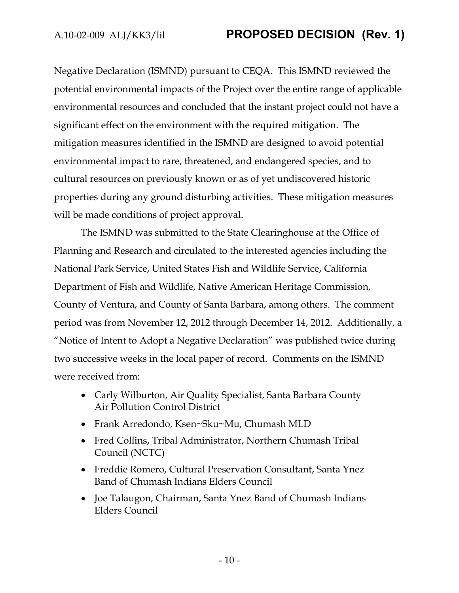Negative Declaration (ISMND) pursuant to CEQA. This ISMND reviewed the potential environmental impacts of the Project over the entire range of applicable environmental resources and concluded that the instant project could not have a significant effect on the environment with the required mitigation. The mitigation measures identified in the ISMND are designed to avoid potential environmental impact to rare, threatened, and endangered species, and to cultural resources on previously known or as of yet undiscovered historic properties during any ground disturbing activities. These mitigation measures will be made conditions of project approval.

The ISMND was submitted to the State Clearinghouse at the Office of Planning and Research and circulated to the interested agencies including the National Park Service, United States Fish and Wildlife Service, California Department of Fish and Wildlife, Native American Heritage Commission, County of Ventura, and County of Santa Barbara, among others. The comment period was from November 12, 2012 through December 14, 2012. Additionally, a "Notice of Intent to Adopt a Negative Declaration" was published twice during two successive weeks in the local paper of record. Comments on the ISMND were received from:

- Carly Wilburton, Air Quality Specialist, Santa Barbara County Air Pollution Control District
- Frank Arredondo, Ksen~Sku~Mu, Chumash MLD
- Fred Collins, Tribal Administrator, Northern Chumash Tribal Council (NCTC)
- Freddie Romero, Cultural Preservation Consultant, Santa Ynez Band of Chumash Indians Elders Council
- Joe Talaugon, Chairman, Santa Ynez Band of Chumash Indians Elders Council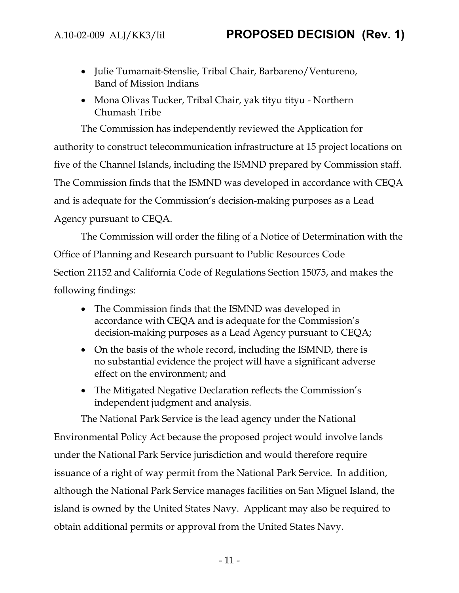- Julie Tumamait-Stenslie, Tribal Chair, Barbareno/Ventureno, Band of Mission Indians
- Mona Olivas Tucker, Tribal Chair, yak tityu tityu Northern Chumash Tribe

The Commission has independently reviewed the Application for authority to construct telecommunication infrastructure at 15 project locations on five of the Channel Islands, including the ISMND prepared by Commission staff. The Commission finds that the ISMND was developed in accordance with CEQA and is adequate for the Commission's decision-making purposes as a Lead Agency pursuant to CEQA.

The Commission will order the filing of a Notice of Determination with the Office of Planning and Research pursuant to Public Resources Code Section 21152 and California Code of Regulations Section 15075, and makes the following findings:

- The Commission finds that the ISMND was developed in accordance with CEQA and is adequate for the Commission's decision-making purposes as a Lead Agency pursuant to CEQA;
- On the basis of the whole record, including the ISMND, there is no substantial evidence the project will have a significant adverse effect on the environment; and
- The Mitigated Negative Declaration reflects the Commission's independent judgment and analysis.

The National Park Service is the lead agency under the National Environmental Policy Act because the proposed project would involve lands under the National Park Service jurisdiction and would therefore require issuance of a right of way permit from the National Park Service. In addition, although the National Park Service manages facilities on San Miguel Island, the island is owned by the United States Navy. Applicant may also be required to obtain additional permits or approval from the United States Navy.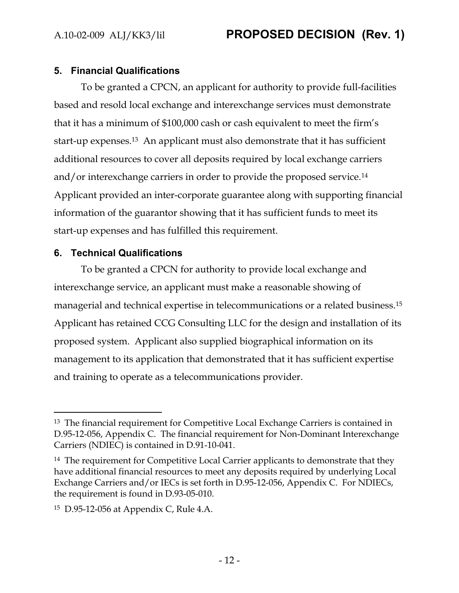### **5. Financial Qualifications**

To be granted a CPCN, an applicant for authority to provide full-facilities based and resold local exchange and interexchange services must demonstrate that it has a minimum of \$100,000 cash or cash equivalent to meet the firm's start-up expenses.13 An applicant must also demonstrate that it has sufficient additional resources to cover all deposits required by local exchange carriers and/or interexchange carriers in order to provide the proposed service.<sup>14</sup> Applicant provided an inter-corporate guarantee along with supporting financial information of the guarantor showing that it has sufficient funds to meet its start-up expenses and has fulfilled this requirement.

## **6. Technical Qualifications**

 $\overline{a}$ 

To be granted a CPCN for authority to provide local exchange and interexchange service, an applicant must make a reasonable showing of managerial and technical expertise in telecommunications or a related business.<sup>15</sup> Applicant has retained CCG Consulting LLC for the design and installation of its proposed system. Applicant also supplied biographical information on its management to its application that demonstrated that it has sufficient expertise and training to operate as a telecommunications provider.

<sup>&</sup>lt;sup>13</sup> The financial requirement for Competitive Local Exchange Carriers is contained in D.95-12-056, Appendix C. The financial requirement for Non-Dominant Interexchange Carriers (NDIEC) is contained in D.91-10-041.

<sup>&</sup>lt;sup>14</sup> The requirement for Competitive Local Carrier applicants to demonstrate that they have additional financial resources to meet any deposits required by underlying Local Exchange Carriers and/or IECs is set forth in D.95-12-056, Appendix C. For NDIECs, the requirement is found in D.93-05-010.

<sup>15</sup> D.95-12-056 at Appendix C, Rule 4.A.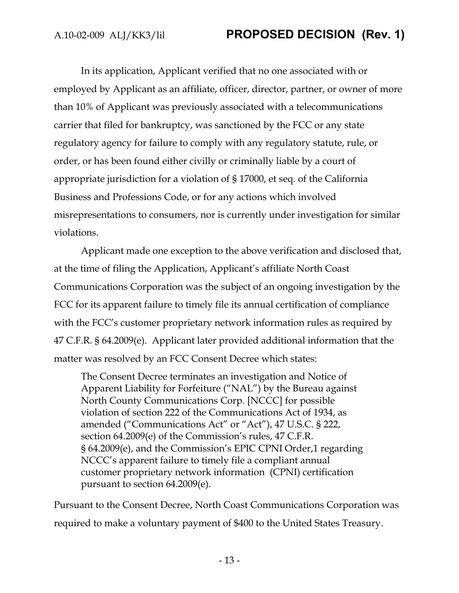In its application, Applicant verified that no one associated with or employed by Applicant as an affiliate, officer, director, partner, or owner of more than 10% of Applicant was previously associated with a telecommunications carrier that filed for bankruptcy, was sanctioned by the FCC or any state regulatory agency for failure to comply with any regulatory statute, rule, or order, or has been found either civilly or criminally liable by a court of appropriate jurisdiction for a violation of § 17000, et seq*.* of the California Business and Professions Code, or for any actions which involved misrepresentations to consumers, nor is currently under investigation for similar violations.

Applicant made one exception to the above verification and disclosed that, at the time of filing the Application, Applicant's affiliate North Coast Communications Corporation was the subject of an ongoing investigation by the FCC for its apparent failure to timely file its annual certification of compliance with the FCC's customer proprietary network information rules as required by 47 C.F.R. § 64.2009(e). Applicant later provided additional information that the matter was resolved by an FCC Consent Decree which states:

The Consent Decree terminates an investigation and Notice of Apparent Liability for Forfeiture ("NAL") by the Bureau against North County Communications Corp. [NCCC] for possible violation of section 222 of the Communications Act of 1934, as amended ("Communications Act" or "Act"), 47 U.S.C. § 222, section 64.2009(e) of the Commission's rules, 47 C.F.R. § 64.2009(e), and the Commission's EPIC CPNI Order,1 regarding NCCC's apparent failure to timely file a compliant annual customer proprietary network information (CPNI) certification pursuant to section 64.2009(e).

Pursuant to the Consent Decree, North Coast Communications Corporation was required to make a voluntary payment of \$400 to the United States Treasury.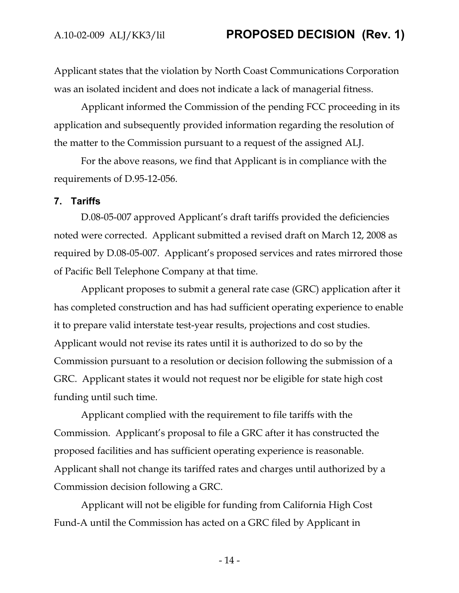Applicant states that the violation by North Coast Communications Corporation was an isolated incident and does not indicate a lack of managerial fitness.

Applicant informed the Commission of the pending FCC proceeding in its application and subsequently provided information regarding the resolution of the matter to the Commission pursuant to a request of the assigned ALJ.

For the above reasons, we find that Applicant is in compliance with the requirements of D.95-12-056.

#### **7. Tariffs**

D.08-05-007 approved Applicant's draft tariffs provided the deficiencies noted were corrected. Applicant submitted a revised draft on March 12, 2008 as required by D.08-05-007. Applicant's proposed services and rates mirrored those of Pacific Bell Telephone Company at that time.

Applicant proposes to submit a general rate case (GRC) application after it has completed construction and has had sufficient operating experience to enable it to prepare valid interstate test-year results, projections and cost studies. Applicant would not revise its rates until it is authorized to do so by the Commission pursuant to a resolution or decision following the submission of a GRC. Applicant states it would not request nor be eligible for state high cost funding until such time.

Applicant complied with the requirement to file tariffs with the Commission. Applicant's proposal to file a GRC after it has constructed the proposed facilities and has sufficient operating experience is reasonable. Applicant shall not change its tariffed rates and charges until authorized by a Commission decision following a GRC.

Applicant will not be eligible for funding from California High Cost Fund-A until the Commission has acted on a GRC filed by Applicant in

- 14 -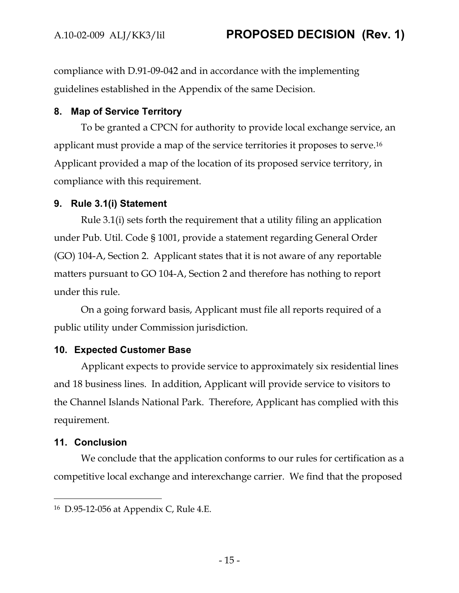compliance with D.91-09-042 and in accordance with the implementing guidelines established in the Appendix of the same Decision.

## **8. Map of Service Territory**

To be granted a CPCN for authority to provide local exchange service, an applicant must provide a map of the service territories it proposes to serve.<sup>16</sup> Applicant provided a map of the location of its proposed service territory, in compliance with this requirement.

## **9. Rule 3.1(i) Statement**

Rule 3.1(i) sets forth the requirement that a utility filing an application under Pub. Util. Code § 1001, provide a statement regarding General Order (GO) 104-A, Section 2. Applicant states that it is not aware of any reportable matters pursuant to GO 104-A, Section 2 and therefore has nothing to report under this rule.

On a going forward basis, Applicant must file all reports required of a public utility under Commission jurisdiction.

## **10. Expected Customer Base**

Applicant expects to provide service to approximately six residential lines and 18 business lines. In addition, Applicant will provide service to visitors to the Channel Islands National Park. Therefore, Applicant has complied with this requirement.

## **11. Conclusion**

We conclude that the application conforms to our rules for certification as a competitive local exchange and interexchange carrier. We find that the proposed

 $\overline{a}$ <sup>16</sup> D.95-12-056 at Appendix C, Rule 4.E.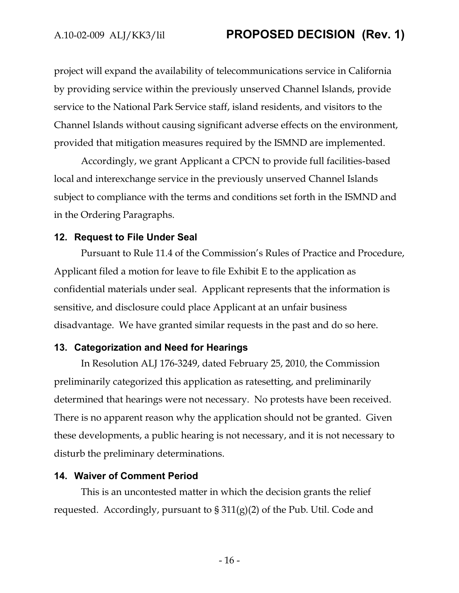project will expand the availability of telecommunications service in California by providing service within the previously unserved Channel Islands, provide service to the National Park Service staff, island residents, and visitors to the Channel Islands without causing significant adverse effects on the environment, provided that mitigation measures required by the ISMND are implemented.

Accordingly, we grant Applicant a CPCN to provide full facilities-based local and interexchange service in the previously unserved Channel Islands subject to compliance with the terms and conditions set forth in the ISMND and in the Ordering Paragraphs.

#### **12. Request to File Under Seal**

Pursuant to Rule 11.4 of the Commission's Rules of Practice and Procedure, Applicant filed a motion for leave to file Exhibit E to the application as confidential materials under seal. Applicant represents that the information is sensitive, and disclosure could place Applicant at an unfair business disadvantage. We have granted similar requests in the past and do so here.

#### **13. Categorization and Need for Hearings**

In Resolution ALJ 176-3249, dated February 25, 2010, the Commission preliminarily categorized this application as ratesetting, and preliminarily determined that hearings were not necessary. No protests have been received. There is no apparent reason why the application should not be granted. Given these developments, a public hearing is not necessary, and it is not necessary to disturb the preliminary determinations.

#### **14. Waiver of Comment Period**

This is an uncontested matter in which the decision grants the relief requested. Accordingly, pursuant to  $\S 311(g)(2)$  of the Pub. Util. Code and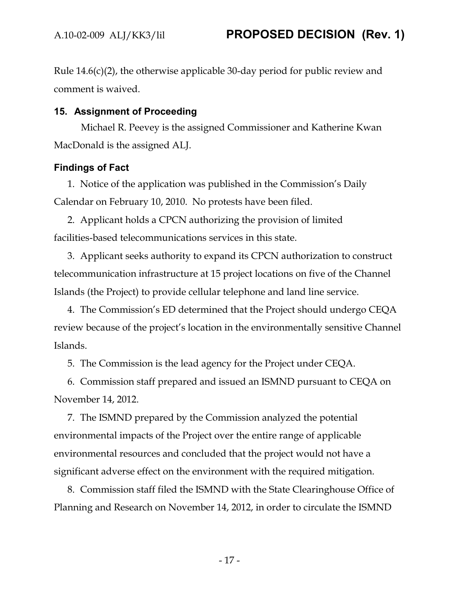Rule 14.6(c)(2), the otherwise applicable 30-day period for public review and comment is waived.

### **15. Assignment of Proceeding**

Michael R. Peevey is the assigned Commissioner and Katherine Kwan MacDonald is the assigned ALJ.

### **Findings of Fact**

1. Notice of the application was published in the Commission's Daily Calendar on February 10, 2010. No protests have been filed.

2. Applicant holds a CPCN authorizing the provision of limited facilities-based telecommunications services in this state.

3. Applicant seeks authority to expand its CPCN authorization to construct telecommunication infrastructure at 15 project locations on five of the Channel Islands (the Project) to provide cellular telephone and land line service.

4. The Commission's ED determined that the Project should undergo CEQA review because of the project's location in the environmentally sensitive Channel Islands.

5. The Commission is the lead agency for the Project under CEQA.

6. Commission staff prepared and issued an ISMND pursuant to CEQA on November 14, 2012.

7. The ISMND prepared by the Commission analyzed the potential environmental impacts of the Project over the entire range of applicable environmental resources and concluded that the project would not have a significant adverse effect on the environment with the required mitigation.

8. Commission staff filed the ISMND with the State Clearinghouse Office of Planning and Research on November 14, 2012, in order to circulate the ISMND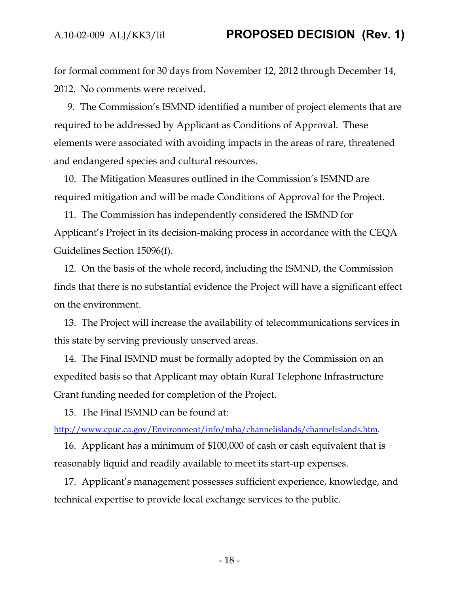for formal comment for 30 days from November 12, 2012 through December 14, 2012. No comments were received.

9. The Commission's ISMND identified a number of project elements that are required to be addressed by Applicant as Conditions of Approval. These elements were associated with avoiding impacts in the areas of rare, threatened and endangered species and cultural resources.

10. The Mitigation Measures outlined in the Commission's ISMND are required mitigation and will be made Conditions of Approval for the Project.

11. The Commission has independently considered the ISMND for Applicant's Project in its decision-making process in accordance with the CEQA Guidelines Section 15096(f).

12. On the basis of the whole record, including the ISMND, the Commission finds that there is no substantial evidence the Project will have a significant effect on the environment.

13. The Project will increase the availability of telecommunications services in this state by serving previously unserved areas.

14. The Final ISMND must be formally adopted by the Commission on an expedited basis so that Applicant may obtain Rural Telephone Infrastructure Grant funding needed for completion of the Project.

15. The Final ISMND can be found at:

[http://www.cpuc.ca.gov/Environment/info/mha/channelislands/channelislands.htm.](http://www.cpuc.ca.gov/Environment/info/mha/channelislands/channelislands.htm)

16. Applicant has a minimum of \$100,000 of cash or cash equivalent that is reasonably liquid and readily available to meet its start-up expenses.

17. Applicant's management possesses sufficient experience, knowledge, and technical expertise to provide local exchange services to the public.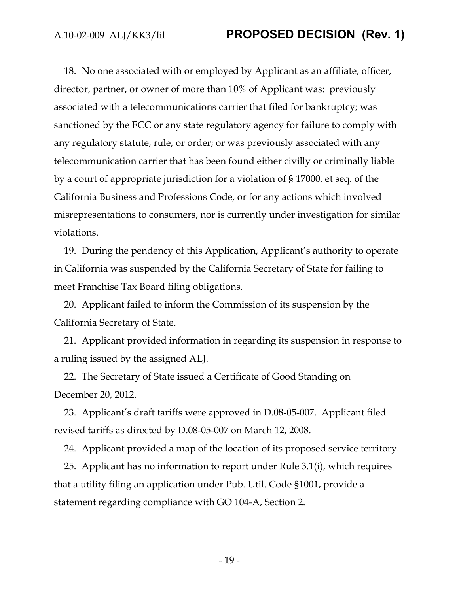18. No one associated with or employed by Applicant as an affiliate, officer, director, partner, or owner of more than 10% of Applicant was: previously associated with a telecommunications carrier that filed for bankruptcy; was sanctioned by the FCC or any state regulatory agency for failure to comply with any regulatory statute, rule, or order; or was previously associated with any telecommunication carrier that has been found either civilly or criminally liable by a court of appropriate jurisdiction for a violation of § 17000, et seq. of the California Business and Professions Code, or for any actions which involved misrepresentations to consumers, nor is currently under investigation for similar violations.

19. During the pendency of this Application, Applicant's authority to operate in California was suspended by the California Secretary of State for failing to meet Franchise Tax Board filing obligations.

20. Applicant failed to inform the Commission of its suspension by the California Secretary of State.

21. Applicant provided information in regarding its suspension in response to a ruling issued by the assigned ALJ.

22. The Secretary of State issued a Certificate of Good Standing on December 20, 2012.

23. Applicant's draft tariffs were approved in D.08-05-007. Applicant filed revised tariffs as directed by D.08-05-007 on March 12, 2008.

24. Applicant provided a map of the location of its proposed service territory.

25. Applicant has no information to report under Rule 3.1(i), which requires that a utility filing an application under Pub. Util. Code §1001, provide a statement regarding compliance with GO 104-A, Section 2.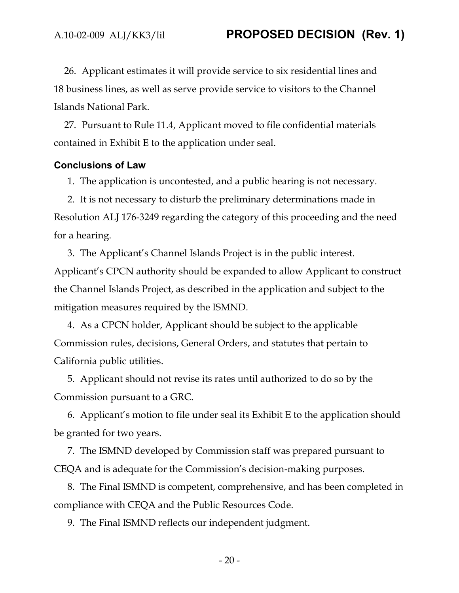26. Applicant estimates it will provide service to six residential lines and 18 business lines, as well as serve provide service to visitors to the Channel Islands National Park.

27. Pursuant to Rule 11.4, Applicant moved to file confidential materials contained in Exhibit E to the application under seal.

#### **Conclusions of Law**

1. The application is uncontested, and a public hearing is not necessary.

2. It is not necessary to disturb the preliminary determinations made in Resolution ALJ 176-3249 regarding the category of this proceeding and the need for a hearing.

3. The Applicant's Channel Islands Project is in the public interest. Applicant's CPCN authority should be expanded to allow Applicant to construct the Channel Islands Project, as described in the application and subject to the mitigation measures required by the ISMND.

4. As a CPCN holder, Applicant should be subject to the applicable Commission rules, decisions, General Orders, and statutes that pertain to California public utilities.

5. Applicant should not revise its rates until authorized to do so by the Commission pursuant to a GRC.

6. Applicant's motion to file under seal its Exhibit E to the application should be granted for two years.

7. The ISMND developed by Commission staff was prepared pursuant to CEQA and is adequate for the Commission's decision-making purposes.

8. The Final ISMND is competent, comprehensive, and has been completed in compliance with CEQA and the Public Resources Code.

9. The Final ISMND reflects our independent judgment.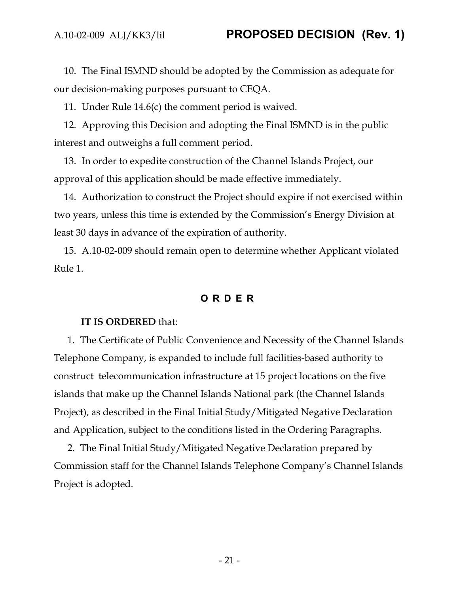10. The Final ISMND should be adopted by the Commission as adequate for our decision-making purposes pursuant to CEQA.

11. Under Rule 14.6(c) the comment period is waived.

12. Approving this Decision and adopting the Final ISMND is in the public interest and outweighs a full comment period.

13. In order to expedite construction of the Channel Islands Project, our approval of this application should be made effective immediately.

14. Authorization to construct the Project should expire if not exercised within two years, unless this time is extended by the Commission's Energy Division at least 30 days in advance of the expiration of authority.

15. A.10-02-009 should remain open to determine whether Applicant violated Rule 1.

#### **ORDER**

#### **IT IS ORDERED** that:

1. The Certificate of Public Convenience and Necessity of the Channel Islands Telephone Company, is expanded to include full facilities-based authority to construct telecommunication infrastructure at 15 project locations on the five islands that make up the Channel Islands National park (the Channel Islands Project), as described in the Final Initial Study/Mitigated Negative Declaration and Application, subject to the conditions listed in the Ordering Paragraphs.

2. The Final Initial Study/Mitigated Negative Declaration prepared by Commission staff for the Channel Islands Telephone Company's Channel Islands Project is adopted.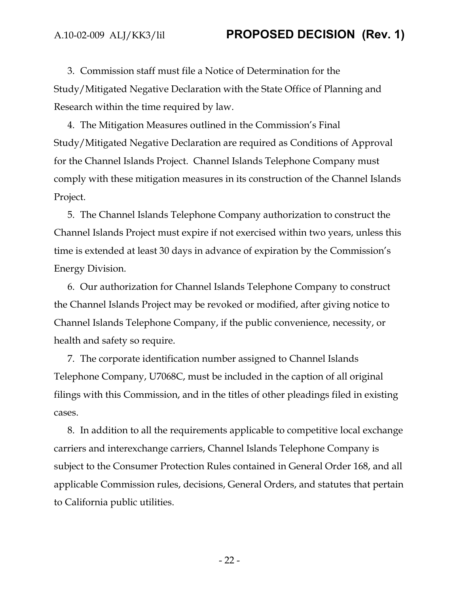3. Commission staff must file a Notice of Determination for the Study/Mitigated Negative Declaration with the State Office of Planning and Research within the time required by law.

4. The Mitigation Measures outlined in the Commission's Final Study/Mitigated Negative Declaration are required as Conditions of Approval for the Channel Islands Project. Channel Islands Telephone Company must comply with these mitigation measures in its construction of the Channel Islands Project.

5. The Channel Islands Telephone Company authorization to construct the Channel Islands Project must expire if not exercised within two years, unless this time is extended at least 30 days in advance of expiration by the Commission's Energy Division.

6. Our authorization for Channel Islands Telephone Company to construct the Channel Islands Project may be revoked or modified, after giving notice to Channel Islands Telephone Company, if the public convenience, necessity, or health and safety so require.

7. The corporate identification number assigned to Channel Islands Telephone Company, U7068C, must be included in the caption of all original filings with this Commission, and in the titles of other pleadings filed in existing cases.

8. In addition to all the requirements applicable to competitive local exchange carriers and interexchange carriers, Channel Islands Telephone Company is subject to the Consumer Protection Rules contained in General Order 168, and all applicable Commission rules, decisions, General Orders, and statutes that pertain to California public utilities.

- 22 -